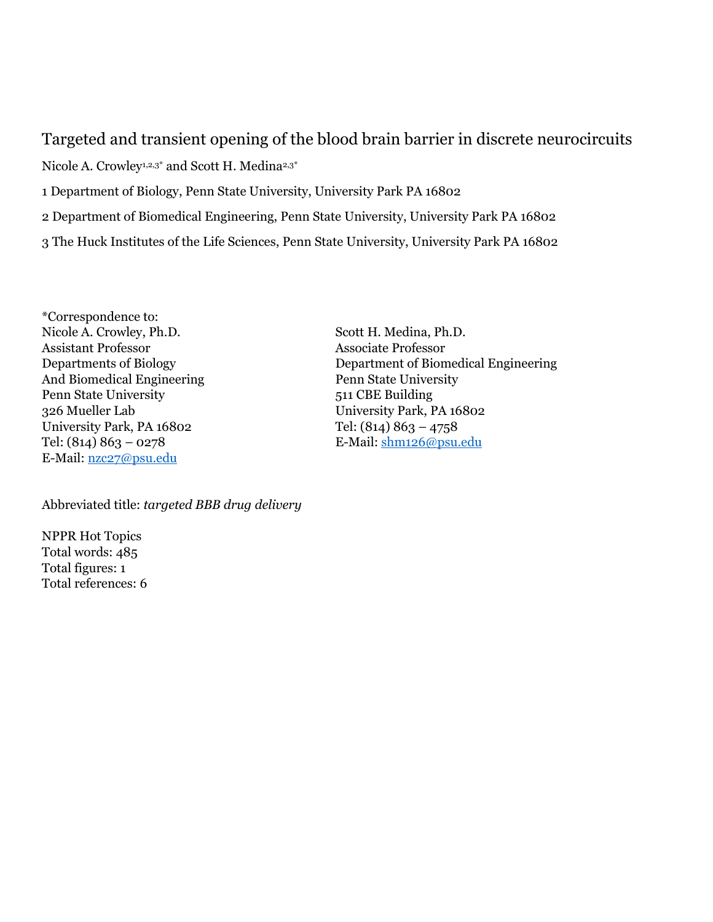## Targeted and transient opening of the blood brain barrier in discrete neurocircuits

Nicole A. Crowley<sup>1,2,3\*</sup> and Scott H. Medina<sup>2,3\*</sup> 1 Department of Biology, Penn State University, University Park PA 16802 2 Department of Biomedical Engineering, Penn State University, University Park PA 16802 3 The Huck Institutes of the Life Sciences, Penn State University, University Park PA 16802

\*Correspondence to: Nicole A. Crowley, Ph.D. Scott H. Medina, Ph.D. Assistant Professor Associate Professor And Biomedical Engineering Penn State University Penn State University 511 CBE Building 326 Mueller Lab University Park, PA 16802 University Park, PA 16802 Tel: (814) 863 – 4758 Tel: (814) 863 – 0278 E-Mail: [shm126@psu.edu](mailto:shm126@psu.edu) E-Mail: [nzc27@psu.edu](mailto:nzc27@psu.edu)

Departments of Biology Department of Biomedical Engineering

Abbreviated title: *targeted BBB drug delivery*

NPPR Hot Topics Total words: 485 Total figures: 1 Total references: 6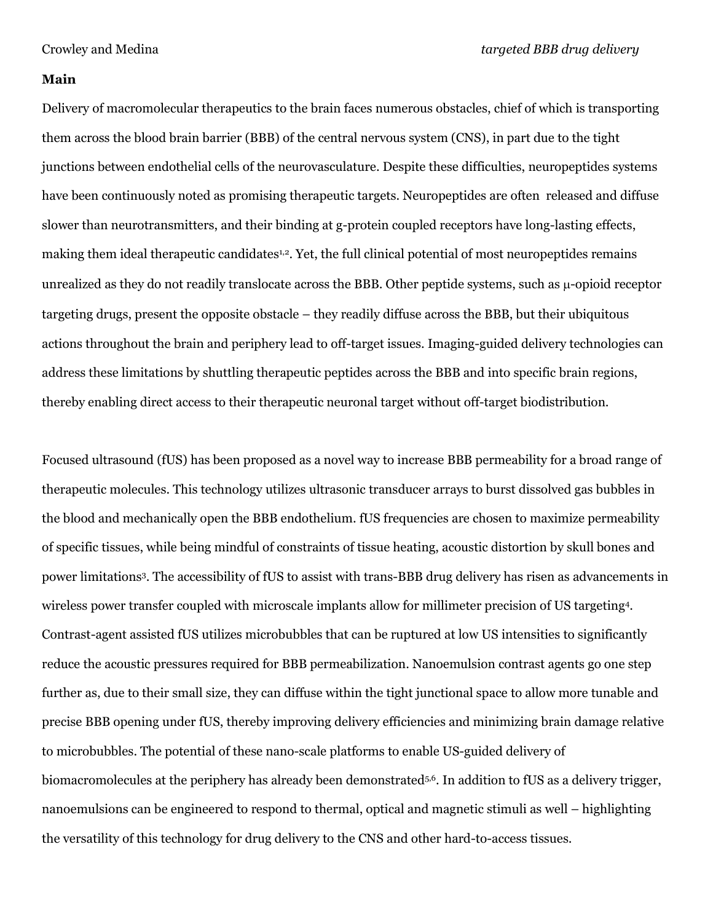#### **Main**

Delivery of macromolecular therapeutics to the brain faces numerous obstacles, chief of which is transporting them across the blood brain barrier (BBB) of the central nervous system (CNS), in part due to the tight junctions between endothelial cells of the neurovasculature. Despite these difficulties, neuropeptides systems have been continuously noted as promising therapeutic targets. Neuropeptides are often released and diffuse slower than neurotransmitters, and their binding at g-protein coupled receptors have long-lasting effects, making them ideal therapeutic candidates<sup>1,2</sup>. Yet, the full clinical potential of most neuropeptides remains unrealized as they do not readily translocate across the BBB. Other peptide systems, such as  $\mu$ -opioid receptor targeting drugs, present the opposite obstacle – they readily diffuse across the BBB, but their ubiquitous actions throughout the brain and periphery lead to off-target issues. Imaging-guided delivery technologies can address these limitations by shuttling therapeutic peptides across the BBB and into specific brain regions, thereby enabling direct access to their therapeutic neuronal target without off-target biodistribution.

Focused ultrasound (fUS) has been proposed as a novel way to increase BBB permeability for a broad range of therapeutic molecules. This technology utilizes ultrasonic transducer arrays to burst dissolved gas bubbles in the blood and mechanically open the BBB endothelium. fUS frequencies are chosen to maximize permeability of specific tissues, while being mindful of constraints of tissue heating, acoustic distortion by skull bones and power limitations<sup>3</sup> . The accessibility of fUS to assist with trans-BBB drug delivery has risen as advancements in wireless power transfer coupled with microscale implants allow for millimeter precision of US targeting<sup>4</sup> . Contrast-agent assisted fUS utilizes microbubbles that can be ruptured at low US intensities to significantly reduce the acoustic pressures required for BBB permeabilization. Nanoemulsion contrast agents go one step further as, due to their small size, they can diffuse within the tight junctional space to allow more tunable and precise BBB opening under fUS, thereby improving delivery efficiencies and minimizing brain damage relative to microbubbles. The potential of these nano-scale platforms to enable US-guided delivery of biomacromolecules at the periphery has already been demonstrated5,6 . In addition to fUS as a delivery trigger, nanoemulsions can be engineered to respond to thermal, optical and magnetic stimuli as well – highlighting the versatility of this technology for drug delivery to the CNS and other hard-to-access tissues.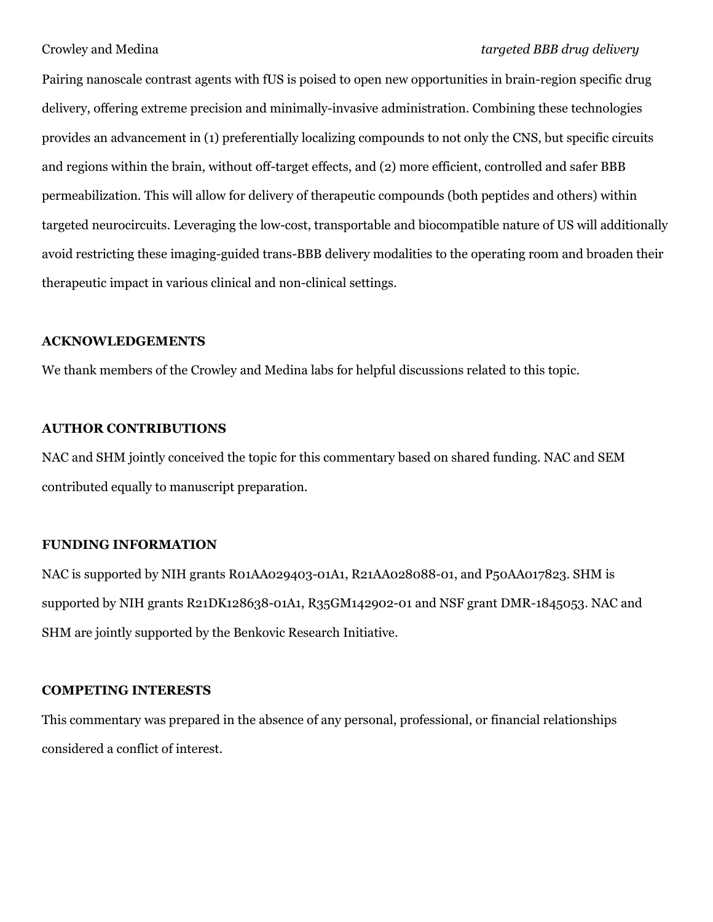### Crowley and Medina *targeted BBB drug delivery*

Pairing nanoscale contrast agents with fUS is poised to open new opportunities in brain-region specific drug delivery, offering extreme precision and minimally-invasive administration. Combining these technologies provides an advancement in (1) preferentially localizing compounds to not only the CNS, but specific circuits and regions within the brain, without off-target effects, and (2) more efficient, controlled and safer BBB permeabilization. This will allow for delivery of therapeutic compounds (both peptides and others) within targeted neurocircuits. Leveraging the low-cost, transportable and biocompatible nature of US will additionally avoid restricting these imaging-guided trans-BBB delivery modalities to the operating room and broaden their therapeutic impact in various clinical and non-clinical settings.

#### **ACKNOWLEDGEMENTS**

We thank members of the Crowley and Medina labs for helpful discussions related to this topic.

### **AUTHOR CONTRIBUTIONS**

NAC and SHM jointly conceived the topic for this commentary based on shared funding. NAC and SEM contributed equally to manuscript preparation.

#### **FUNDING INFORMATION**

NAC is supported by NIH grants R01AA029403-01A1, R21AA028088-01, and P50AA017823. SHM is supported by NIH grants R21DK128638-01A1, R35GM142902-01 and NSF grant DMR-1845053. NAC and SHM are jointly supported by the Benkovic Research Initiative.

#### **COMPETING INTERESTS**

This commentary was prepared in the absence of any personal, professional, or financial relationships considered a conflict of interest.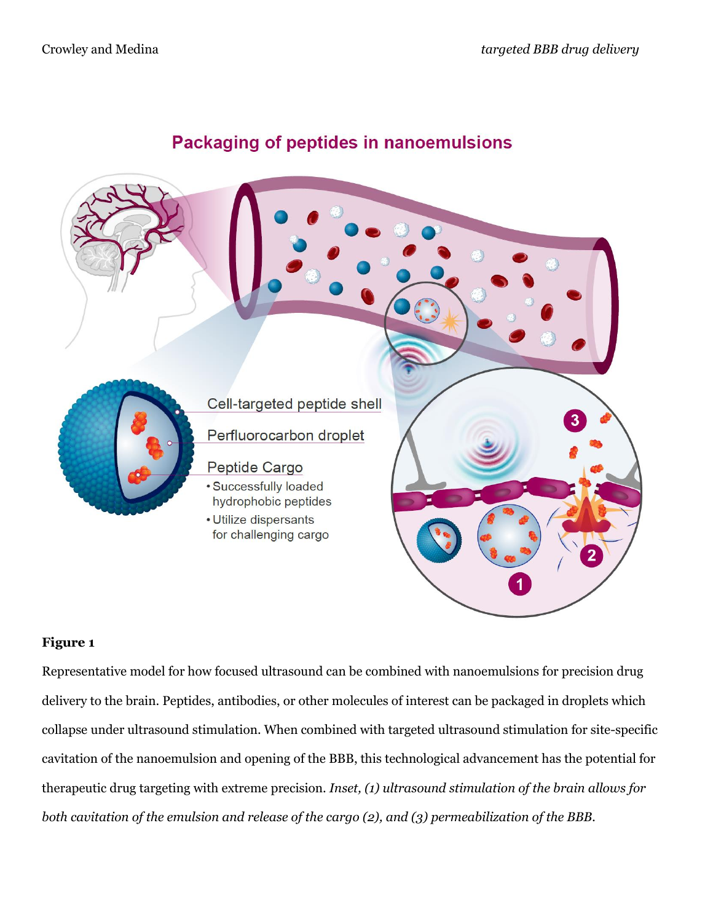# **Packaging of peptides in nanoemulsions**



## **Figure 1**

Representative model for how focused ultrasound can be combined with nanoemulsions for precision drug delivery to the brain. Peptides, antibodies, or other molecules of interest can be packaged in droplets which collapse under ultrasound stimulation. When combined with targeted ultrasound stimulation for site-specific cavitation of the nanoemulsion and opening of the BBB, this technological advancement has the potential for therapeutic drug targeting with extreme precision. *Inset, (1) ultrasound stimulation of the brain allows for both cavitation of the emulsion and release of the cargo (2), and (3) permeabilization of the BBB.*